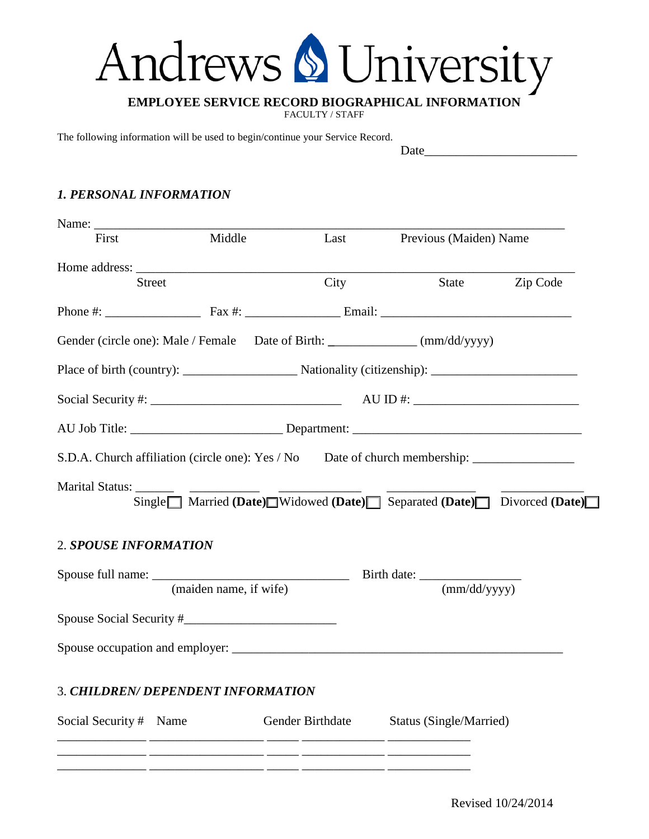# Andrews & University

## **EMPLOYEE SERVICE RECORD BIOGRAPHICAL INFORMATION**

FACULTY / STAFF

The following information will be used to begin/continue your Service Record.

#### Date\_\_\_\_\_\_\_\_\_\_\_\_\_\_\_\_\_\_\_\_\_\_\_\_

#### *1. PERSONAL INFORMATION*

| First                  | Middle                                                           | Last                                                                                                                 |  | Previous (Maiden) Name |          |  |
|------------------------|------------------------------------------------------------------|----------------------------------------------------------------------------------------------------------------------|--|------------------------|----------|--|
|                        | <b>Street</b>                                                    | City                                                                                                                 |  | State                  | Zip Code |  |
|                        |                                                                  |                                                                                                                      |  |                        |          |  |
|                        |                                                                  | Phone #: $\qquad \qquad$ Fax #: $\qquad \qquad$ Email:                                                               |  |                        |          |  |
|                        |                                                                  | Gender (circle one): Male / Female Date of Birth: _____________ (mm/dd/yyyy)                                         |  |                        |          |  |
|                        |                                                                  |                                                                                                                      |  |                        |          |  |
|                        | Social Security #: $\frac{1}{2}$ AU ID #: $\frac{1}{2}$ AU ID #: |                                                                                                                      |  |                        |          |  |
|                        |                                                                  |                                                                                                                      |  |                        |          |  |
|                        |                                                                  | S.D.A. Church affiliation (circle one): Yes / No Date of church membership: _______________________                  |  |                        |          |  |
| Marital Status: ______ |                                                                  | Single Married (Date) Widowed (Date) Separated (Date) Divorced (Date)                                                |  |                        |          |  |
| 2. SPOUSE INFORMATION  |                                                                  |                                                                                                                      |  |                        |          |  |
|                        | (maiden name, if wife)                                           |                                                                                                                      |  | (mm/dd/vyyy)           |          |  |
|                        |                                                                  |                                                                                                                      |  |                        |          |  |
|                        |                                                                  |                                                                                                                      |  |                        |          |  |
|                        | 3. CHILDREN/ DEPENDENT INFORMATION                               |                                                                                                                      |  |                        |          |  |
| Social Security # Name |                                                                  | Gender Birthdate Status (Single/Married)                                                                             |  |                        |          |  |
|                        |                                                                  | <u> 2000 - 2000 - 2000 - 2000 - 2000 - 2000 - 2000 - 2000 - 2000 - 2000 - 2000 - 2000 - 2000 - 2000 - 2000 - 200</u> |  |                        |          |  |
|                        |                                                                  |                                                                                                                      |  |                        |          |  |